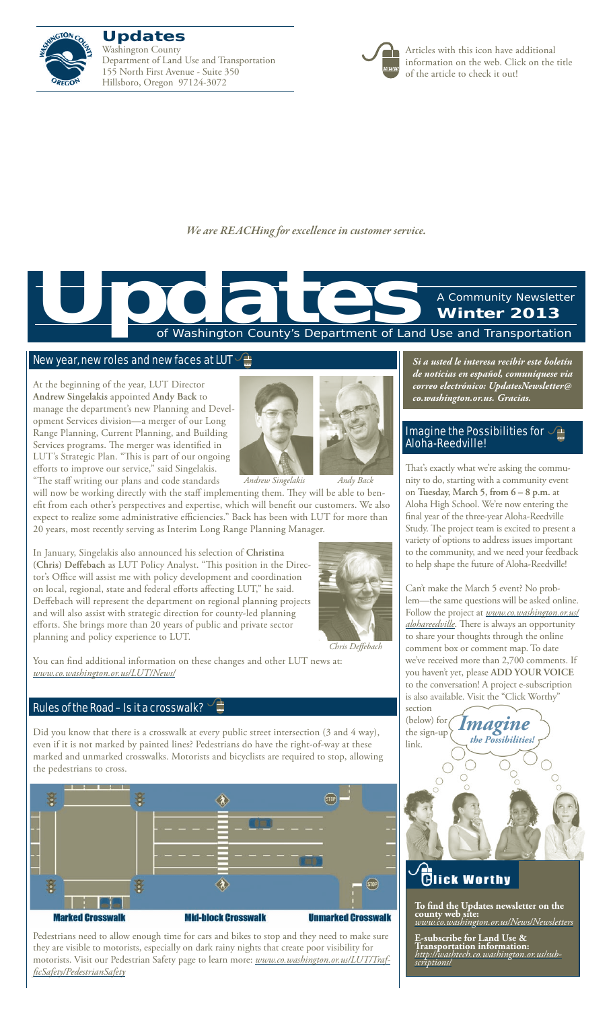

**Updates** Washington County Department of Land Use and Transportation 155 North First Avenue - Suite 350 Hillsboro, Oregon 97124-3072



Articles with this icon have additional information on the web. Click on the title of the article to check it out!

*We are REACHing for excellence in customer service.*

of Washington County's Department of Land Use and Transportation A Community Newsletter **Winter 2013 Updates**<br>The Contract of Washington County's Department of Land

#### [New year, new roles and new faces at LUT](www.co.washington.or.us/LUT/News/)  $\sqrt{2\pi}$

At the beginning of the year, LUT Director **Andrew Singelakis** appointed **Andy Back** to manage the department's new Planning and Development Services division—a merger of our Long Range Planning, Current Planning, and Building Services programs. The merger was identified in LUT's Strategic Plan. "This is part of our ongoing efforts to improve our service," said Singelakis.



"The staff writing our plans and code standards will now be working directly with the staff implementing them. They will be able to benefit from each other's perspectives and expertise, which will benefit our customers. We also expect to realize some administrative efficiencies." Back has been with LUT for more than *Andrew Singelakis Andy Back*

20 years, most recently serving as Interim Long Range Planning Manager. In January, Singelakis also announced his selection of **Christina (Chris) Deffebach** as LUT Policy Analyst. "This position in the Director's Office will assist me with policy development and coordination on local, regional, state and federal efforts affecting LUT," he said. Deffebach will represent the department on regional planning projects and will also assist with strategic direction for county-led planning efforts. She brings more than 20 years of public and private sector



*Chris Deffebach*

You can find additional information on these changes and other LUT news at: *www.co.washington.or.us/LUT/News/*

#### [Rules of the Road – Is it a crosswalk?](www.co.washington.or.us/LUT/TrafficSafety/PedestrianSafety)  $\frac{1}{2}$

planning and policy experience to LUT.

Did you know that there is a crosswalk at every public street intersection (3 and 4 way), even if it is not marked by painted lines? Pedestrians do have the right-of-way at these marked and unmarked crosswalks. Motorists and bicyclists are required to stop, allowing the pedestrians to cross.



Pedestrians need to allow enough time for cars and bikes to stop and they need to make sure they are visible to motorists, especially on dark rainy nights that create poor visibility for motorists. Visit our Pedestrian Safety page to learn more: *[www.co.washington.or.us/LUT/Traf](www.co.washington.or.us/LUT/TrafficSafety/PedestrianSafety)[ficSafety/PedestrianSafety](www.co.washington.or.us/LUT/TrafficSafety/PedestrianSafety)*

*Si a usted le interesa recibir este boletín de noticias en español, comuníquese via correo electrónico: UpdatesNewsletter@ co.washington.or.us. Gracias.*

### [Imagine the Possibilities for](www.co.washington.or.us/alohareedville)  $\sqrt{2}$ [Aloha-Reedville!](www.co.washington.or.us/alohareedville)

That's exactly what we're asking the community to do, starting with a community event on **Tuesday, March 5, from 6 – 8 p.m.** at Aloha High School. We're now entering the final year of the three-year Aloha-Reedville Study. The project team is excited to present a variety of options to address issues important to the community, and we need your feedback to help shape the future of Aloha-Reedville!

Can't make the March 5 event? No problem—the same questions will be asked online. Follow the project at *www.co.washington.or.us/ alohareedville*. There is always an opportunity to share your thoughts through the online comment box or comment map. To date we've received more than 2,700 comments. If you haven't yet, please **ADD YOUR VOICE** to the conversation! A project e-subscription is also available. Visit the "Click Worthy" section

(below) for the sign-up link. *the Possibilities! Imagine*



## **Tick Worthy**

**To find the Updates newsletter on the county web site:**  *www.co.washington.or.us/News/Newsletters*

**E-subscribe for Land Use & Transportation information:**  *[http://washtech.co.washington.or.us/sub-](http://washtech.co.washington.or.us/subscriptions/) [scriptions/](http://washtech.co.washington.or.us/subscriptions/)*